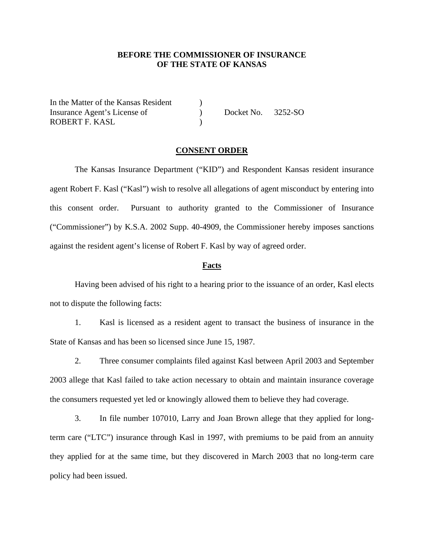## **BEFORE THE COMMISSIONER OF INSURANCE OF THE STATE OF KANSAS**

In the Matter of the Kansas Resident ) Insurance Agent's License of  $Docket No. 3252-SO$ ROBERT F. KASL (1999)

## **CONSENT ORDER**

The Kansas Insurance Department ("KID") and Respondent Kansas resident insurance agent Robert F. Kasl ("Kasl") wish to resolve all allegations of agent misconduct by entering into this consent order. Pursuant to authority granted to the Commissioner of Insurance ("Commissioner") by K.S.A. 2002 Supp. 40-4909, the Commissioner hereby imposes sanctions against the resident agent's license of Robert F. Kasl by way of agreed order.

#### **Facts**

Having been advised of his right to a hearing prior to the issuance of an order, Kasl elects not to dispute the following facts:

1. Kasl is licensed as a resident agent to transact the business of insurance in the State of Kansas and has been so licensed since June 15, 1987.

2. Three consumer complaints filed against Kasl between April 2003 and September 2003 allege that Kasl failed to take action necessary to obtain and maintain insurance coverage the consumers requested yet led or knowingly allowed them to believe they had coverage.

3. In file number 107010, Larry and Joan Brown allege that they applied for longterm care ("LTC") insurance through Kasl in 1997, with premiums to be paid from an annuity they applied for at the same time, but they discovered in March 2003 that no long-term care policy had been issued.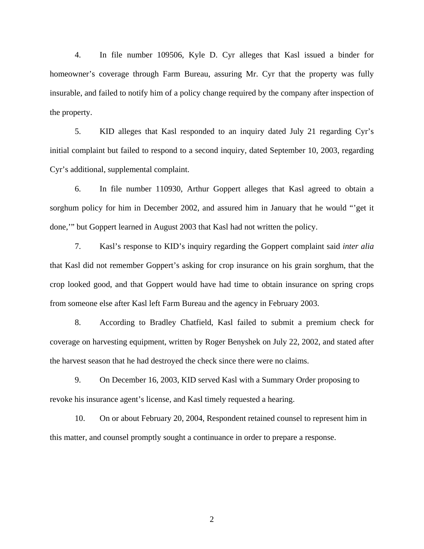4. In file number 109506, Kyle D. Cyr alleges that Kasl issued a binder for homeowner's coverage through Farm Bureau, assuring Mr. Cyr that the property was fully insurable, and failed to notify him of a policy change required by the company after inspection of the property.

5. KID alleges that Kasl responded to an inquiry dated July 21 regarding Cyr's initial complaint but failed to respond to a second inquiry, dated September 10, 2003, regarding Cyr's additional, supplemental complaint.

6. In file number 110930, Arthur Goppert alleges that Kasl agreed to obtain a sorghum policy for him in December 2002, and assured him in January that he would "'get it done,'" but Goppert learned in August 2003 that Kasl had not written the policy.

7. Kasl's response to KID's inquiry regarding the Goppert complaint said *inter alia* that Kasl did not remember Goppert's asking for crop insurance on his grain sorghum, that the crop looked good, and that Goppert would have had time to obtain insurance on spring crops from someone else after Kasl left Farm Bureau and the agency in February 2003.

8. According to Bradley Chatfield, Kasl failed to submit a premium check for coverage on harvesting equipment, written by Roger Benyshek on July 22, 2002, and stated after the harvest season that he had destroyed the check since there were no claims.

9. On December 16, 2003, KID served Kasl with a Summary Order proposing to revoke his insurance agent's license, and Kasl timely requested a hearing.

10. On or about February 20, 2004, Respondent retained counsel to represent him in this matter, and counsel promptly sought a continuance in order to prepare a response.

2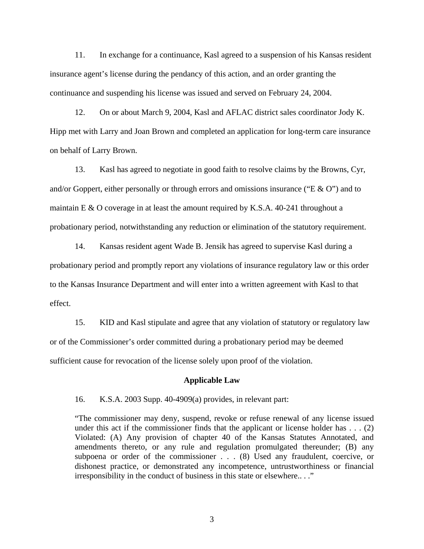11. In exchange for a continuance, Kasl agreed to a suspension of his Kansas resident insurance agent's license during the pendancy of this action, and an order granting the continuance and suspending his license was issued and served on February 24, 2004.

12. On or about March 9, 2004, Kasl and AFLAC district sales coordinator Jody K. Hipp met with Larry and Joan Brown and completed an application for long-term care insurance on behalf of Larry Brown.

13. Kasl has agreed to negotiate in good faith to resolve claims by the Browns, Cyr, and/or Goppert, either personally or through errors and omissions insurance ("E & O") and to maintain E & O coverage in at least the amount required by K.S.A. 40-241 throughout a probationary period, notwithstanding any reduction or elimination of the statutory requirement.

14. Kansas resident agent Wade B. Jensik has agreed to supervise Kasl during a probationary period and promptly report any violations of insurance regulatory law or this order to the Kansas Insurance Department and will enter into a written agreement with Kasl to that effect.

15. KID and Kasl stipulate and agree that any violation of statutory or regulatory law or of the Commissioner's order committed during a probationary period may be deemed sufficient cause for revocation of the license solely upon proof of the violation.

### **Applicable Law**

16. K.S.A. 2003 Supp. 40-4909(a) provides, in relevant part:

"The commissioner may deny, suspend, revoke or refuse renewal of any license issued under this act if the commissioner finds that the applicant or license holder has  $\dots$  (2) Violated: (A) Any provision of chapter 40 of the Kansas Statutes Annotated, and amendments thereto, or any rule and regulation promulgated thereunder; (B) any subpoena or order of the commissioner . . . (8) Used any fraudulent, coercive, or dishonest practice, or demonstrated any incompetence, untrustworthiness or financial irresponsibility in the conduct of business in this state or elsewhere.. . ."

3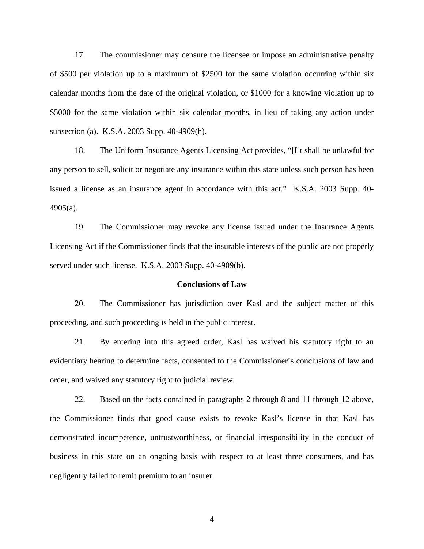17. The commissioner may censure the licensee or impose an administrative penalty of \$500 per violation up to a maximum of \$2500 for the same violation occurring within six calendar months from the date of the original violation, or \$1000 for a knowing violation up to \$5000 for the same violation within six calendar months, in lieu of taking any action under subsection (a). K.S.A. 2003 Supp. 40-4909(h).

18. The Uniform Insurance Agents Licensing Act provides, "[I]t shall be unlawful for any person to sell, solicit or negotiate any insurance within this state unless such person has been issued a license as an insurance agent in accordance with this act." K.S.A. 2003 Supp. 40- 4905(a).

19. The Commissioner may revoke any license issued under the Insurance Agents Licensing Act if the Commissioner finds that the insurable interests of the public are not properly served under such license. K.S.A. 2003 Supp. 40-4909(b).

### **Conclusions of Law**

20. The Commissioner has jurisdiction over Kasl and the subject matter of this proceeding, and such proceeding is held in the public interest.

21. By entering into this agreed order, Kasl has waived his statutory right to an evidentiary hearing to determine facts, consented to the Commissioner's conclusions of law and order, and waived any statutory right to judicial review.

22. Based on the facts contained in paragraphs 2 through 8 and 11 through 12 above, the Commissioner finds that good cause exists to revoke Kasl's license in that Kasl has demonstrated incompetence, untrustworthiness, or financial irresponsibility in the conduct of business in this state on an ongoing basis with respect to at least three consumers, and has negligently failed to remit premium to an insurer.

4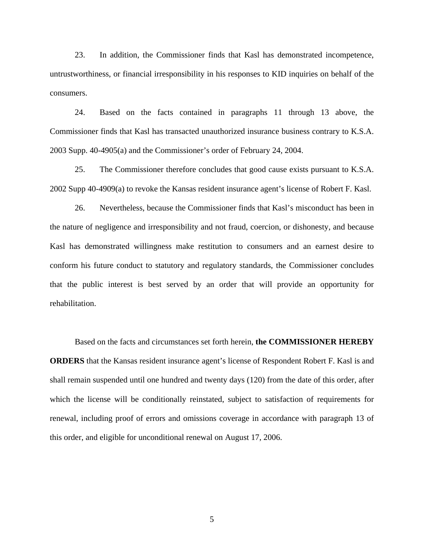23. In addition, the Commissioner finds that Kasl has demonstrated incompetence, untrustworthiness, or financial irresponsibility in his responses to KID inquiries on behalf of the consumers.

24. Based on the facts contained in paragraphs 11 through 13 above, the Commissioner finds that Kasl has transacted unauthorized insurance business contrary to K.S.A. 2003 Supp. 40-4905(a) and the Commissioner's order of February 24, 2004.

25. The Commissioner therefore concludes that good cause exists pursuant to K.S.A. 2002 Supp 40-4909(a) to revoke the Kansas resident insurance agent's license of Robert F. Kasl.

26. Nevertheless, because the Commissioner finds that Kasl's misconduct has been in the nature of negligence and irresponsibility and not fraud, coercion, or dishonesty, and because Kasl has demonstrated willingness make restitution to consumers and an earnest desire to conform his future conduct to statutory and regulatory standards, the Commissioner concludes that the public interest is best served by an order that will provide an opportunity for rehabilitation.

Based on the facts and circumstances set forth herein, **the COMMISSIONER HEREBY ORDERS** that the Kansas resident insurance agent's license of Respondent Robert F. Kasl is and shall remain suspended until one hundred and twenty days (120) from the date of this order, after which the license will be conditionally reinstated, subject to satisfaction of requirements for renewal, including proof of errors and omissions coverage in accordance with paragraph 13 of this order, and eligible for unconditional renewal on August 17, 2006.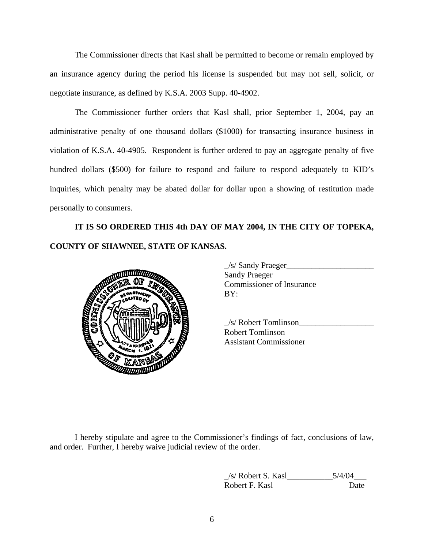The Commissioner directs that Kasl shall be permitted to become or remain employed by an insurance agency during the period his license is suspended but may not sell, solicit, or negotiate insurance, as defined by K.S.A. 2003 Supp. 40-4902.

The Commissioner further orders that Kasl shall, prior September 1, 2004, pay an administrative penalty of one thousand dollars (\$1000) for transacting insurance business in violation of K.S.A. 40-4905. Respondent is further ordered to pay an aggregate penalty of five hundred dollars (\$500) for failure to respond and failure to respond adequately to KID's inquiries, which penalty may be abated dollar for dollar upon a showing of restitution made personally to consumers.

**IT IS SO ORDERED THIS 4th DAY OF MAY 2004, IN THE CITY OF TOPEKA, COUNTY OF SHAWNEE, STATE OF KANSAS.** 



|     | Sandy Praeger                    |
|-----|----------------------------------|
|     | <b>Sandy Praeger</b>             |
|     | <b>Commissioner of Insurance</b> |
| -65 | BY:                              |
|     |                                  |

 \_/s/ Robert Tomlinson\_\_\_\_\_\_\_\_\_\_\_\_\_\_\_\_\_\_ Robert Tomlinson Assistant Commissioner

I hereby stipulate and agree to the Commissioner's findings of fact, conclusions of law, and order. Further, I hereby waive judicial review of the order.

> $/s/$  Robert S. Kasl $\qquad \qquad$  5/4/04 Robert F. Kasl Date